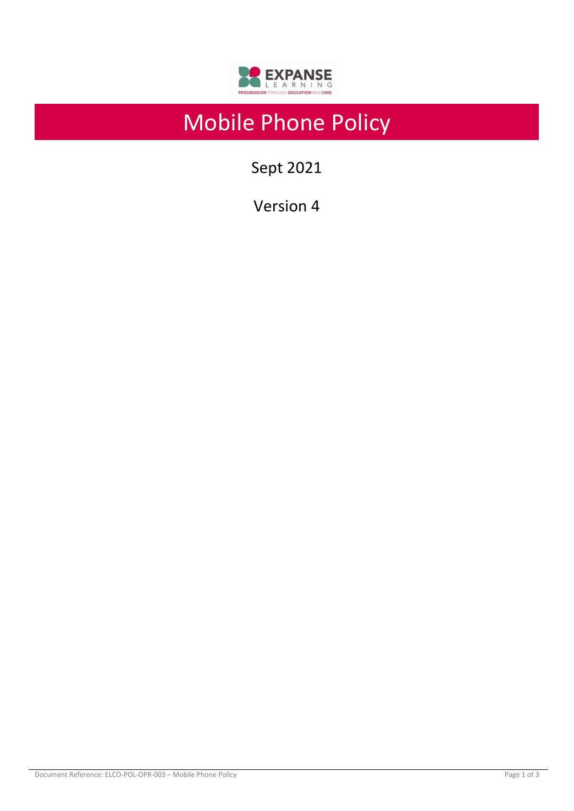

# Mobile Phone Policy

Sept 2021

Version 4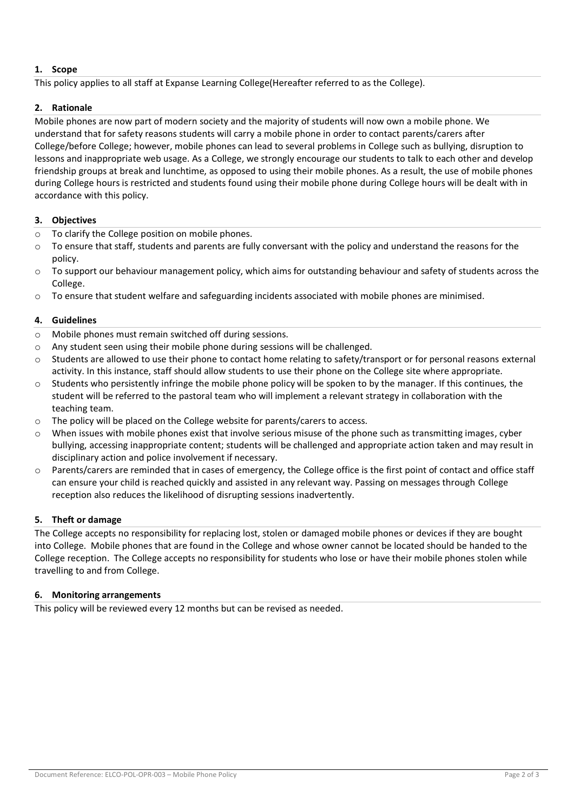# **1. Scope**

This policy applies to all staff at Expanse Learning College(Hereafter referred to as the College).

# **2. Rationale**

Mobile phones are now part of modern society and the majority of students will now own a mobile phone. We understand that for safety reasons students will carry a mobile phone in order to contact parents/carers after College/before College; however, mobile phones can lead to several problems in College such as bullying, disruption to lessons and inappropriate web usage. As a College, we strongly encourage our students to talk to each other and develop friendship groups at break and lunchtime, as opposed to using their mobile phones. As a result, the use of mobile phones during College hours is restricted and students found using their mobile phone during College hours will be dealt with in accordance with this policy.

### **3. Objectives**

- o To clarify the College position on mobile phones.
- o To ensure that staff, students and parents are fully conversant with the policy and understand the reasons for the policy.
- $\circ$  To support our behaviour management policy, which aims for outstanding behaviour and safety of students across the College.
- $\circ$  To ensure that student welfare and safeguarding incidents associated with mobile phones are minimised.

### **4. Guidelines**

- o Mobile phones must remain switched off during sessions.
- o Any student seen using their mobile phone during sessions will be challenged.
- $\circ$  Students are allowed to use their phone to contact home relating to safety/transport or for personal reasons external activity. In this instance, staff should allow students to use their phone on the College site where appropriate.
- $\circ$  Students who persistently infringe the mobile phone policy will be spoken to by the manager. If this continues, the student will be referred to the pastoral team who will implement a relevant strategy in collaboration with the teaching team.
- o The policy will be placed on the College website for parents/carers to access.
- $\circ$  When issues with mobile phones exist that involve serious misuse of the phone such as transmitting images, cyber bullying, accessing inappropriate content; students will be challenged and appropriate action taken and may result in disciplinary action and police involvement if necessary.
- $\circ$  Parents/carers are reminded that in cases of emergency, the College office is the first point of contact and office staff can ensure your child is reached quickly and assisted in any relevant way. Passing on messages through College reception also reduces the likelihood of disrupting sessions inadvertently.

#### **5. Theft or damage**

The College accepts no responsibility for replacing lost, stolen or damaged mobile phones or devices if they are bought into College. Mobile phones that are found in the College and whose owner cannot be located should be handed to the College reception. The College accepts no responsibility for students who lose or have their mobile phones stolen while travelling to and from College.

#### **6. Monitoring arrangements**

This policy will be reviewed every 12 months but can be revised as needed.